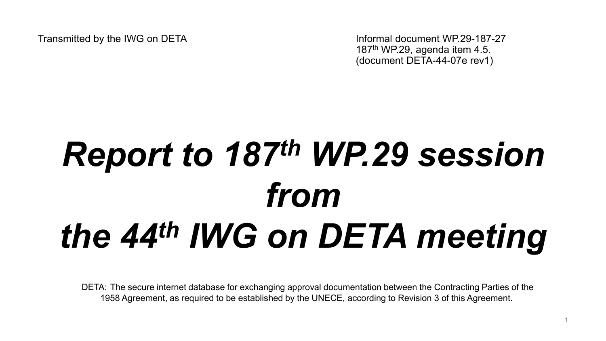Transmitted by the IWG on DETA Informal document WP.29-187-27 187th WP.29, agenda item 4.5. (document DETA-44-07e rev1)

# *Report to 187th WP.29 session from the 44th IWG on DETA meeting*

DETA: The secure internet database for exchanging approval documentation between the Contracting Parties of the 1958 Agreement, as required to be established by the UNECE, according to Revision 3 of this Agreement.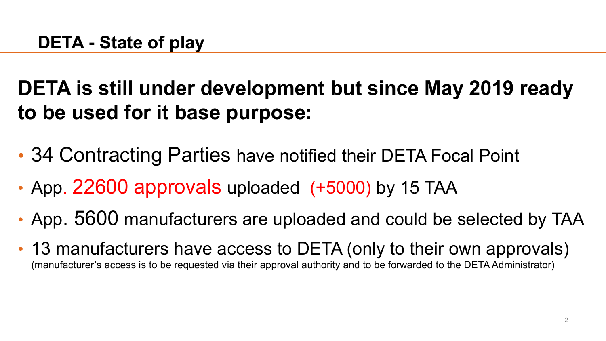# **DETA is still under development but since May 2019 ready to be used for it base purpose:**

- 34 Contracting Parties have notified their DETA Focal Point
- App. 22600 approvals uploaded (+5000) by 15 TAA
- App. 5600 manufacturers are uploaded and could be selected by TAA
- 13 manufacturers have access to DETA (only to their own approvals) (manufacturer's access is to be requested via their approval authority and to be forwarded to the DETA Administrator)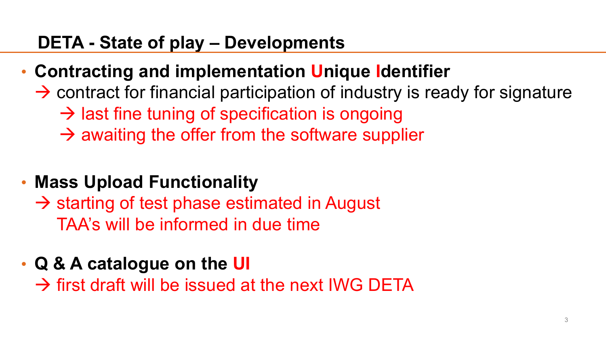#### **DETA - State of play – Developments**

- **Contracting and implementation Unique Identifier** 
	- $\rightarrow$  contract for financial participation of industry is ready for signature
		- $\rightarrow$  last fine tuning of specification is ongoing
		- $\rightarrow$  awaiting the offer from the software supplier
- **Mass Upload Functionality** 
	- $\rightarrow$  starting of test phase estimated in August TAA's will be informed in due time
- **Q & A catalogue on the UI**

 $\rightarrow$  first draft will be issued at the next IWG DETA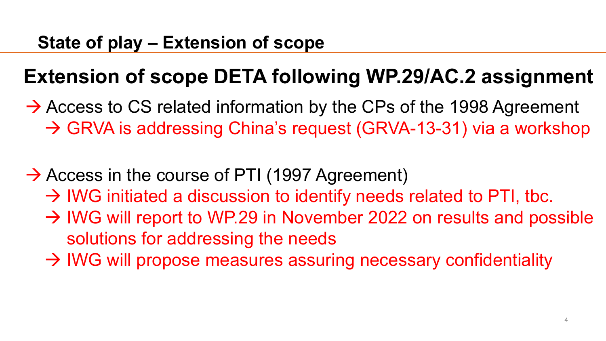# **Extension of scope DETA following WP.29/AC.2 assignment**

 $\rightarrow$  Access to CS related information by the CPs of the 1998 Agreement → GRVA is addressing China's request (GRVA-13-31) via a workshop

- $\rightarrow$  Access in the course of PTI (1997 Agreement)
	- $\rightarrow$  IWG initiated a discussion to identify needs related to PTI, tbc.
	- $\rightarrow$  IWG will report to WP.29 in November 2022 on results and possible solutions for addressing the needs
	- $\rightarrow$  IWG will propose measures assuring necessary confidentiality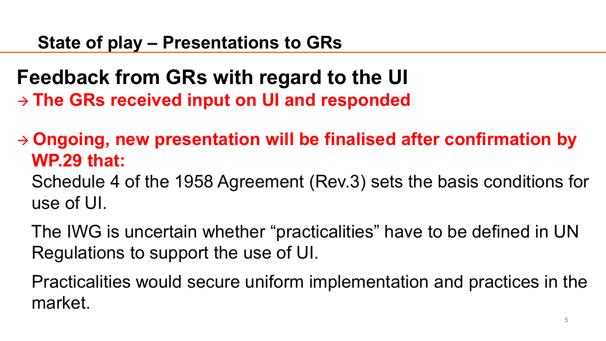## **Feedback from GRs with regard to the UI The GRs received input on UI and responded**

 **Ongoing, new presentation will be finalised after confirmation by WP.29 that:**

Schedule 4 of the 1958 Agreement (Rev.3) sets the basis conditions for use of UI.

The IWG is uncertain whether "practicalities" have to be defined in UN Regulations to support the use of UI.

Practicalities would secure uniform implementation and practices in the market.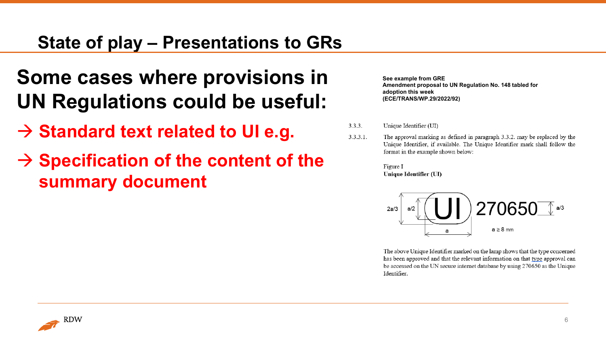### **State of play – Presentations to GRs**

## **Some cases where provisions in UN Regulations could be useful:**

- **→ Standard text related to UI e.g.**
- $\rightarrow$  Specification of the content of the **summary document**

**See example from GRE Amendment proposal to UN Regulation No. 148 tabled for adoption this week (ECE/TRANS/WP.29/2022/92)**

- Unique Identifier (UI)  $3.3.3.$
- The approval marking as defined in paragraph 3.3.2. may be replaced by the  $3.3.3.1.$ Unique Identifier, if available. The Unique Identifier mark shall follow the format in the example shown below:

Figure I Unique Identifier (UI)



The above Unique Identifier marked on the lamp shows that the type concerned has been approved and that the relevant information on that type approval can be accessed on the UN secure internet database by using 270650 as the Unique Identifier.